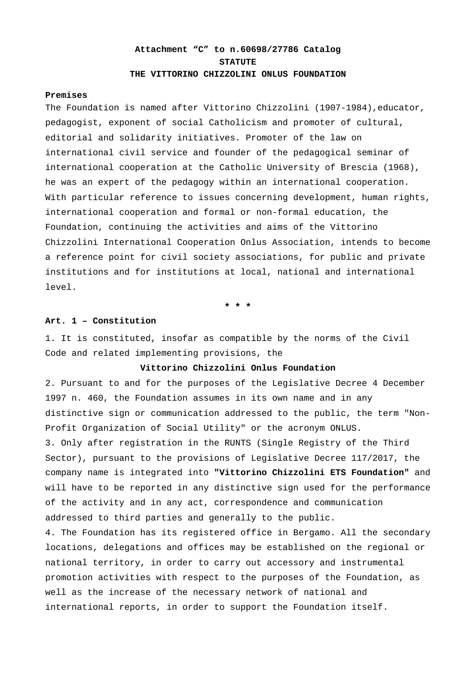# **Attachment "C" to n.60698/27786 Catalog STATUTE THE VITTORINO CHIZZOLINI ONLUS FOUNDATION**

#### **Premises**

The Foundation is named after Vittorino Chizzolini (1907-1984), educator, pedagogist, exponent of social Catholicism and promoter of cultural, editorial and solidarity initiatives. Promoter of the law on international civil service and founder of the pedagogical seminar of international cooperation at the Catholic University of Brescia (1968), he was an expert of the pedagogy within an international cooperation. With particular reference to issues concerning development, human rights, international cooperation and formal or non-formal education, the Foundation, continuing the activities and aims of the Vittorino Chizzolini International Cooperation Onlus Association, intends to become a reference point for civil society associations, for public and private institutions and for institutions at local, national and international level.

**٭ ٭ ٭**

# **Art. 1 – Constitution**

1. It is constituted, insofar as compatible by the norms of the Civil Code and related implementing provisions, the

### **Vittorino Chizzolini Onlus Foundation**

2. Pursuant to and for the purposes of the Legislative Decree 4 December 1997 n. 460, the Foundation assumes in its own name and in any distinctive sign or communication addressed to the public, the term "Non-Profit Organization of Social Utility" or the acronym ONLUS. 3. Only after registration in the RUNTS (Single Registry of the Third Sector), pursuant to the provisions of Legislative Decree 117/2017, the company name is integrated into **"Vittorino Chizzolini ETS Foundation"** and will have to be reported in any distinctive sign used for the performance of the activity and in any act, correspondence and communication addressed to third parties and generally to the public.

4. The Foundation has its registered office in Bergamo. All the secondary locations, delegations and offices may be established on the regional or national territory, in order to carry out accessory and instrumental promotion activities with respect to the purposes of the Foundation, as well as the increase of the necessary network of national and international reports, in order to support the Foundation itself.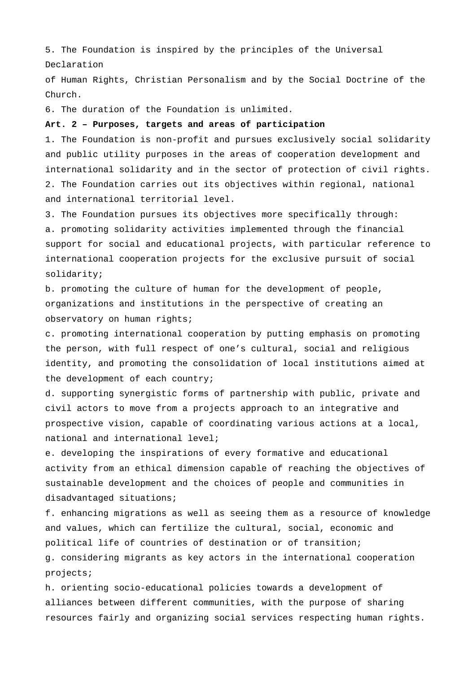5. The Foundation is inspired by the principles of the Universal Declaration

of Human Rights, Christian Personalism and by the Social Doctrine of the Church.

6. The duration of the Foundation is unlimited.

### **Art. 2 – Purposes, targets and areas of participation**

1. The Foundation is non-profit and pursues exclusively social solidarity and public utility purposes in the areas of cooperation development and international solidarity and in the sector of protection of civil rights. 2. The Foundation carries out its objectives within regional, national and international territorial level.

3. The Foundation pursues its objectives more specifically through: a. promoting solidarity activities implemented through the financial support for social and educational projects, with particular reference to international cooperation projects for the exclusive pursuit of social solidarity;

b. promoting the culture of human for the development of people, organizations and institutions in the perspective of creating an observatory on human rights;

c. promoting international cooperation by putting emphasis on promoting the person, with full respect of one's cultural, social and religious identity, and promoting the consolidation of local institutions aimed at the development of each country;

d. supporting synergistic forms of partnership with public, private and civil actors to move from a projects approach to an integrative and prospective vision, capable of coordinating various actions at a local, national and international level;

e. developing the inspirations of every formative and educational activity from an ethical dimension capable of reaching the objectives of sustainable development and the choices of people and communities in disadvantaged situations;

f. enhancing migrations as well as seeing them as a resource of knowledge and values, which can fertilize the cultural, social, economic and political life of countries of destination or of transition; g. considering migrants as key actors in the international cooperation projects;

h. orienting socio-educational policies towards a development of alliances between different communities, with the purpose of sharing resources fairly and organizing social services respecting human rights.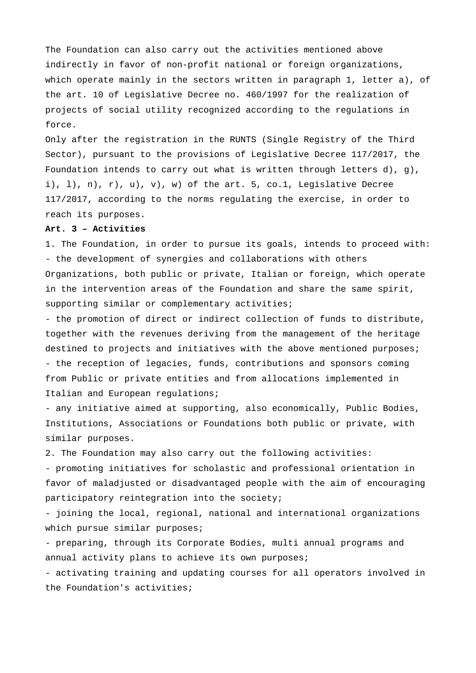The Foundation can also carry out the activities mentioned above indirectly in favor of non-profit national or foreign organizations, which operate mainly in the sectors written in paragraph 1, letter a), of the art. 10 of Legislative Decree no. 460/1997 for the realization of projects of social utility recognized according to the regulations in force.

Only after the registration in the RUNTS (Single Registry of the Third Sector), pursuant to the provisions of Legislative Decree 117/2017, the Foundation intends to carry out what is written through letters d), g), i),  $1$ ,  $n$ ,  $r$ ,  $u$ ,  $v$ ,  $w$ ) of the art. 5, co.1, Legislative Decree 117/2017, according to the norms regulating the exercise, in order to reach its purposes.

# **Art. 3 – Activities**

1. The Foundation, in order to pursue its goals, intends to proceed with: - the development of synergies and collaborations with others Organizations, both public or private, Italian or foreign, which operate in the intervention areas of the Foundation and share the same spirit, supporting similar or complementary activities;

- the promotion of direct or indirect collection of funds to distribute, together with the revenues deriving from the management of the heritage destined to projects and initiatives with the above mentioned purposes; - the reception of legacies, funds, contributions and sponsors coming from Public or private entities and from allocations implemented in Italian and European regulations;

- any initiative aimed at supporting, also economically, Public Bodies, Institutions, Associations or Foundations both public or private, with similar purposes.

2. The Foundation may also carry out the following activities:

- promoting initiatives for scholastic and professional orientation in favor of maladjusted or disadvantaged people with the aim of encouraging participatory reintegration into the society;

- joining the local, regional, national and international organizations which pursue similar purposes;

- preparing, through its Corporate Bodies, multi annual programs and annual activity plans to achieve its own purposes;

- activating training and updating courses for all operators involved in the Foundation's activities;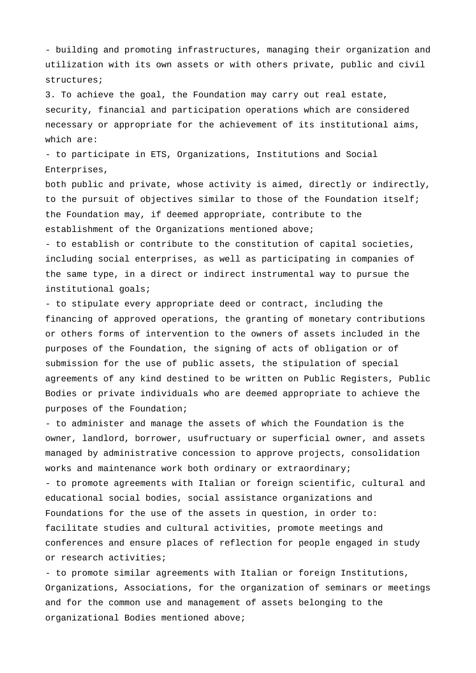- building and promoting infrastructures, managing their organization and utilization with its own assets or with others private, public and civil structures;

3. To achieve the goal, the Foundation may carry out real estate, security, financial and participation operations which are considered necessary or appropriate for the achievement of its institutional aims, which are:

- to participate in ETS, Organizations, Institutions and Social Enterprises,

both public and private, whose activity is aimed, directly or indirectly, to the pursuit of objectives similar to those of the Foundation itself; the Foundation may, if deemed appropriate, contribute to the establishment of the Organizations mentioned above;

- to establish or contribute to the constitution of capital societies, including social enterprises, as well as participating in companies of the same type, in a direct or indirect instrumental way to pursue the institutional goals;

- to stipulate every appropriate deed or contract, including the financing of approved operations, the granting of monetary contributions or others forms of intervention to the owners of assets included in the purposes of the Foundation, the signing of acts of obligation or of submission for the use of public assets, the stipulation of special agreements of any kind destined to be written on Public Registers, Public Bodies or private individuals who are deemed appropriate to achieve the purposes of the Foundation;

- to administer and manage the assets of which the Foundation is the owner, landlord, borrower, usufructuary or superficial owner, and assets managed by administrative concession to approve projects, consolidation works and maintenance work both ordinary or extraordinary; - to promote agreements with Italian or foreign scientific, cultural and educational social bodies, social assistance organizations and Foundations for the use of the assets in question, in order to: facilitate studies and cultural activities, promote meetings and

conferences and ensure places of reflection for people engaged in study or research activities;

- to promote similar agreements with Italian or foreign Institutions, Organizations, Associations, for the organization of seminars or meetings and for the common use and management of assets belonging to the organizational Bodies mentioned above;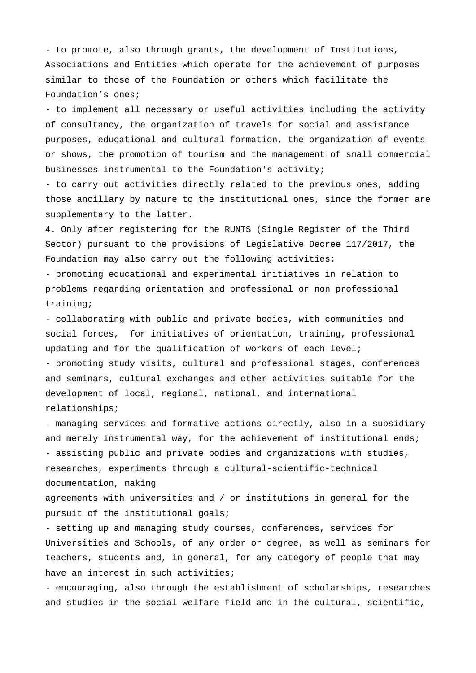- to promote, also through grants, the development of Institutions, Associations and Entities which operate for the achievement of purposes similar to those of the Foundation or others which facilitate the Foundation's ones;

- to implement all necessary or useful activities including the activity of consultancy, the organization of travels for social and assistance purposes, educational and cultural formation, the organization of events or shows, the promotion of tourism and the management of small commercial businesses instrumental to the Foundation's activity;

- to carry out activities directly related to the previous ones, adding those ancillary by nature to the institutional ones, since the former are supplementary to the latter.

4. Only after registering for the RUNTS (Single Register of the Third Sector) pursuant to the provisions of Legislative Decree 117/2017, the Foundation may also carry out the following activities:

- promoting educational and experimental initiatives in relation to problems regarding orientation and professional or non professional training;

- collaborating with public and private bodies, with communities and social forces, for initiatives of orientation, training, professional updating and for the qualification of workers of each level; - promoting study visits, cultural and professional stages, conferences and seminars, cultural exchanges and other activities suitable for the development of local, regional, national, and international

relationships;

- managing services and formative actions directly, also in a subsidiary and merely instrumental way, for the achievement of institutional ends; - assisting public and private bodies and organizations with studies, researches, experiments through a cultural-scientific-technical documentation, making

agreements with universities and / or institutions in general for the pursuit of the institutional goals;

- setting up and managing study courses, conferences, services for Universities and Schools, of any order or degree, as well as seminars for teachers, students and, in general, for any category of people that may have an interest in such activities;

- encouraging, also through the establishment of scholarships, researches and studies in the social welfare field and in the cultural, scientific,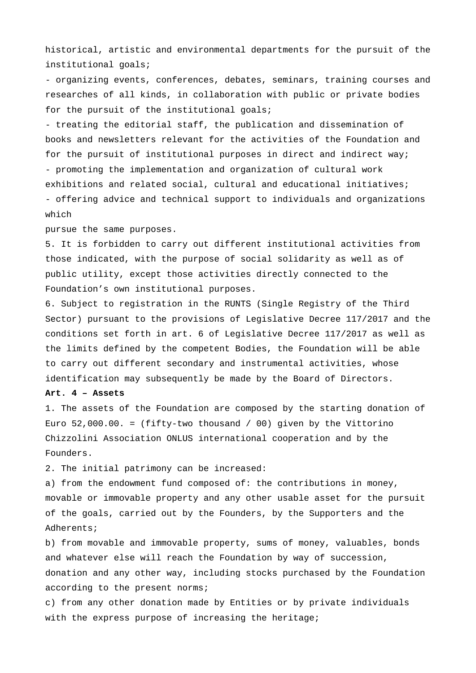historical, artistic and environmental departments for the pursuit of the institutional goals;

- organizing events, conferences, debates, seminars, training courses and researches of all kinds, in collaboration with public or private bodies for the pursuit of the institutional goals;

- treating the editorial staff, the publication and dissemination of books and newsletters relevant for the activities of the Foundation and for the pursuit of institutional purposes in direct and indirect way; - promoting the implementation and organization of cultural work exhibitions and related social, cultural and educational initiatives; - offering advice and technical support to individuals and organizations which

pursue the same purposes.

5. It is forbidden to carry out different institutional activities from those indicated, with the purpose of social solidarity as well as of public utility, except those activities directly connected to the Foundation's own institutional purposes.

6. Subject to registration in the RUNTS (Single Registry of the Third Sector) pursuant to the provisions of Legislative Decree 117/2017 and the conditions set forth in art. 6 of Legislative Decree 117/2017 as well as the limits defined by the competent Bodies, the Foundation will be able to carry out different secondary and instrumental activities, whose identification may subsequently be made by the Board of Directors.

**Art. 4 – Assets**

1. The assets of the Foundation are composed by the starting donation of Euro 52,000.00. = (fifty-two thousand / 00) given by the Vittorino Chizzolini Association ONLUS international cooperation and by the Founders.

2. The initial patrimony can be increased:

a) from the endowment fund composed of: the contributions in money, movable or immovable property and any other usable asset for the pursuit of the goals, carried out by the Founders, by the Supporters and the Adherents;

b) from movable and immovable property, sums of money, valuables, bonds and whatever else will reach the Foundation by way of succession, donation and any other way, including stocks purchased by the Foundation according to the present norms;

c) from any other donation made by Entities or by private individuals with the express purpose of increasing the heritage;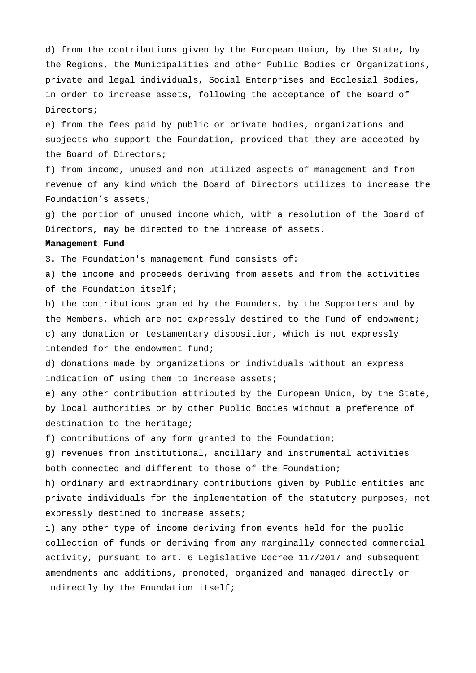d) from the contributions given by the European Union, by the State, by the Regions, the Municipalities and other Public Bodies or Organizations, private and legal individuals, Social Enterprises and Ecclesial Bodies, in order to increase assets, following the acceptance of the Board of Directors;

e) from the fees paid by public or private bodies, organizations and subjects who support the Foundation, provided that they are accepted by the Board of Directors;

f) from income, unused and non-utilized aspects of management and from revenue of any kind which the Board of Directors utilizes to increase the Foundation's assets;

g) the portion of unused income which, with a resolution of the Board of Directors, may be directed to the increase of assets.

#### **Management Fund**

3. The Foundation's management fund consists of:

a) the income and proceeds deriving from assets and from the activities of the Foundation itself;

b) the contributions granted by the Founders, by the Supporters and by the Members, which are not expressly destined to the Fund of endowment; c) any donation or testamentary disposition, which is not expressly intended for the endowment fund;

d) donations made by organizations or individuals without an express indication of using them to increase assets;

e) any other contribution attributed by the European Union, by the State, by local authorities or by other Public Bodies without a preference of destination to the heritage;

f) contributions of any form granted to the Foundation;

g) revenues from institutional, ancillary and instrumental activities both connected and different to those of the Foundation;

h) ordinary and extraordinary contributions given by Public entities and private individuals for the implementation of the statutory purposes, not expressly destined to increase assets;

i) any other type of income deriving from events held for the public collection of funds or deriving from any marginally connected commercial activity, pursuant to art. 6 Legislative Decree 117/2017 and subsequent amendments and additions, promoted, organized and managed directly or indirectly by the Foundation itself;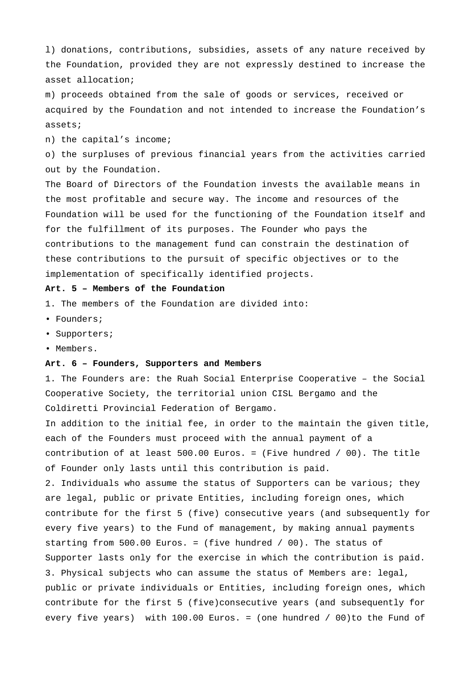l) donations, contributions, subsidies, assets of any nature received by the Foundation, provided they are not expressly destined to increase the asset allocation;

m) proceeds obtained from the sale of goods or services, received or acquired by the Foundation and not intended to increase the Foundation's assets;

n) the capital's income;

o) the surpluses of previous financial years from the activities carried out by the Foundation.

The Board of Directors of the Foundation invests the available means in the most profitable and secure way. The income and resources of the Foundation will be used for the functioning of the Foundation itself and for the fulfillment of its purposes. The Founder who pays the contributions to the management fund can constrain the destination of these contributions to the pursuit of specific objectives or to the implementation of specifically identified projects.

### **Art. 5 – Members of the Foundation**

- 1. The members of the Foundation are divided into:
- Founders;
- Supporters;
- Members.

# **Art. 6 – Founders, Supporters and Members**

1. The Founders are: the Ruah Social Enterprise Cooperative – the Social Cooperative Society, the territorial union CISL Bergamo and the Coldiretti Provincial Federation of Bergamo.

In addition to the initial fee, in order to the maintain the given title, each of the Founders must proceed with the annual payment of a contribution of at least 500.00 Euros. = (Five hundred / 00). The title of Founder only lasts until this contribution is paid.

2. Individuals who assume the status of Supporters can be various; they are legal, public or private Entities, including foreign ones, which contribute for the first 5 (five) consecutive years (and subsequently for every five years) to the Fund of management, by making annual payments starting from 500.00 Euros. = (five hundred / 00). The status of Supporter lasts only for the exercise in which the contribution is paid. 3. Physical subjects who can assume the status of Members are: legal, public or private individuals or Entities, including foreign ones, which contribute for the first 5 (five)consecutive years (and subsequently for every five years) with 100.00 Euros. = (one hundred / 00)to the Fund of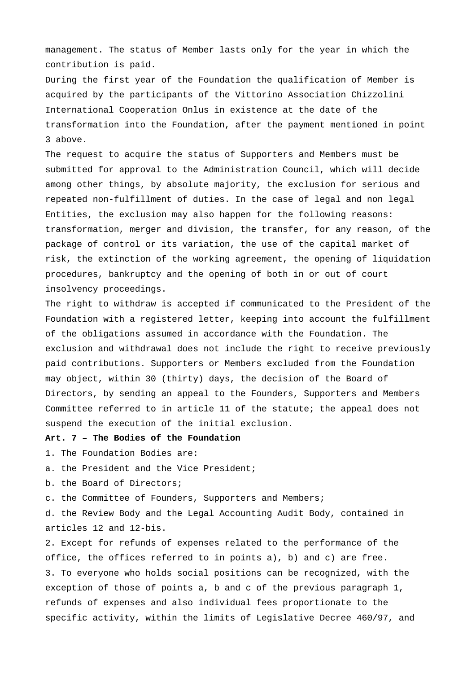management. The status of Member lasts only for the year in which the contribution is paid.

During the first year of the Foundation the qualification of Member is acquired by the participants of the Vittorino Association Chizzolini International Cooperation Onlus in existence at the date of the transformation into the Foundation, after the payment mentioned in point 3 above.

The request to acquire the status of Supporters and Members must be submitted for approval to the Administration Council, which will decide among other things, by absolute majority, the exclusion for serious and repeated non-fulfillment of duties. In the case of legal and non legal Entities, the exclusion may also happen for the following reasons: transformation, merger and division, the transfer, for any reason, of the package of control or its variation, the use of the capital market of risk, the extinction of the working agreement, the opening of liquidation procedures, bankruptcy and the opening of both in or out of court insolvency proceedings.

The right to withdraw is accepted if communicated to the President of the Foundation with a registered letter, keeping into account the fulfillment of the obligations assumed in accordance with the Foundation. The exclusion and withdrawal does not include the right to receive previously paid contributions. Supporters or Members excluded from the Foundation may object, within 30 (thirty) days, the decision of the Board of Directors, by sending an appeal to the Founders, Supporters and Members Committee referred to in article 11 of the statute; the appeal does not suspend the execution of the initial exclusion.

# **Art. 7 – The Bodies of the Foundation**

- 1. The Foundation Bodies are:
- a. the President and the Vice President;
- b. the Board of Directors;
- c. the Committee of Founders, Supporters and Members;

d. the Review Body and the Legal Accounting Audit Body, contained in articles 12 and 12-bis.

2. Except for refunds of expenses related to the performance of the office, the offices referred to in points a), b) and c) are free. 3. To everyone who holds social positions can be recognized, with the exception of those of points a, b and c of the previous paragraph 1, refunds of expenses and also individual fees proportionate to the specific activity, within the limits of Legislative Decree 460/97, and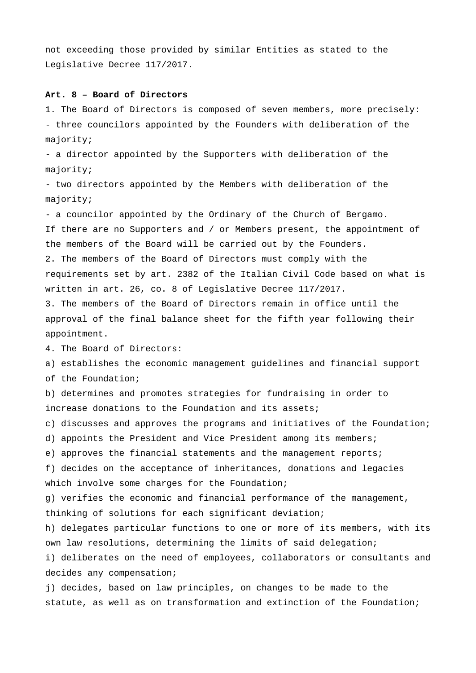not exceeding those provided by similar Entities as stated to the Legislative Decree 117/2017.

## **Art. 8 – Board of Directors**

1. The Board of Directors is composed of seven members, more precisely: - three councilors appointed by the Founders with deliberation of the majority;

- a director appointed by the Supporters with deliberation of the majority;

- two directors appointed by the Members with deliberation of the majority;

- a councilor appointed by the Ordinary of the Church of Bergamo. If there are no Supporters and / or Members present, the appointment of the members of the Board will be carried out by the Founders. 2. The members of the Board of Directors must comply with the requirements set by art. 2382 of the Italian Civil Code based on what is written in art. 26, co. 8 of Legislative Decree 117/2017.

3. The members of the Board of Directors remain in office until the approval of the final balance sheet for the fifth year following their appointment.

4. The Board of Directors:

a) establishes the economic management guidelines and financial support of the Foundation;

b) determines and promotes strategies for fundraising in order to increase donations to the Foundation and its assets;

c) discusses and approves the programs and initiatives of the Foundation;

d) appoints the President and Vice President among its members;

e) approves the financial statements and the management reports;

f) decides on the acceptance of inheritances, donations and legacies which involve some charges for the Foundation;

g) verifies the economic and financial performance of the management, thinking of solutions for each significant deviation;

h) delegates particular functions to one or more of its members, with its own law resolutions, determining the limits of said delegation;

i) deliberates on the need of employees, collaborators or consultants and decides any compensation;

j) decides, based on law principles, on changes to be made to the statute, as well as on transformation and extinction of the Foundation;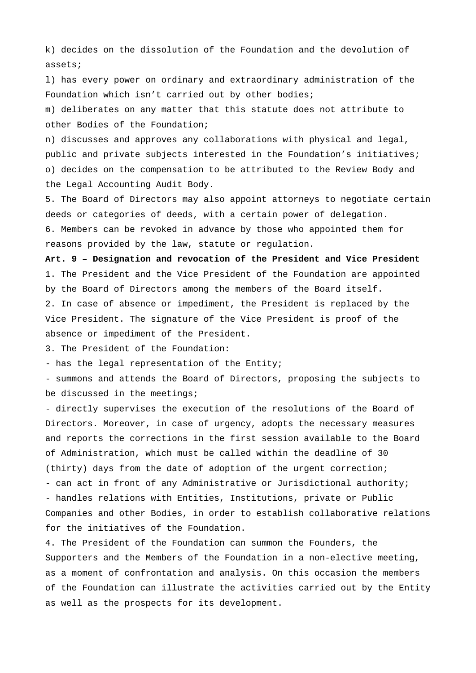k) decides on the dissolution of the Foundation and the devolution of assets;

l) has every power on ordinary and extraordinary administration of the Foundation which isn't carried out by other bodies;

m) deliberates on any matter that this statute does not attribute to other Bodies of the Foundation;

n) discusses and approves any collaborations with physical and legal, public and private subjects interested in the Foundation's initiatives; o) decides on the compensation to be attributed to the Review Body and the Legal Accounting Audit Body.

5. The Board of Directors may also appoint attorneys to negotiate certain deeds or categories of deeds, with a certain power of delegation. 6. Members can be revoked in advance by those who appointed them for reasons provided by the law, statute or regulation.

**Art. 9 – Designation and revocation of the President and Vice President** 1. The President and the Vice President of the Foundation are appointed by the Board of Directors among the members of the Board itself. 2. In case of absence or impediment, the President is replaced by the Vice President. The signature of the Vice President is proof of the absence or impediment of the President.

3. The President of the Foundation:

- has the legal representation of the Entity;

- summons and attends the Board of Directors, proposing the subjects to be discussed in the meetings;

- directly supervises the execution of the resolutions of the Board of Directors. Moreover, in case of urgency, adopts the necessary measures and reports the corrections in the first session available to the Board of Administration, which must be called within the deadline of 30 (thirty) days from the date of adoption of the urgent correction; - can act in front of any Administrative or Jurisdictional authority; - handles relations with Entities, Institutions, private or Public Companies and other Bodies, in order to establish collaborative relations for the initiatives of the Foundation.

4. The President of the Foundation can summon the Founders, the Supporters and the Members of the Foundation in a non-elective meeting, as a moment of confrontation and analysis. On this occasion the members of the Foundation can illustrate the activities carried out by the Entity as well as the prospects for its development.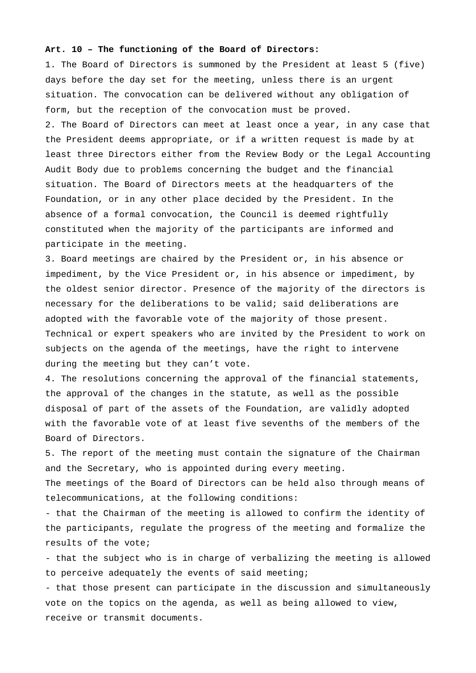# **Art. 10 – The functioning of the Board of Directors:**

1. The Board of Directors is summoned by the President at least 5 (five) days before the day set for the meeting, unless there is an urgent situation. The convocation can be delivered without any obligation of form, but the reception of the convocation must be proved. 2. The Board of Directors can meet at least once a year, in any case that the President deems appropriate, or if a written request is made by at least three Directors either from the Review Body or the Legal Accounting Audit Body due to problems concerning the budget and the financial situation. The Board of Directors meets at the headquarters of the Foundation, or in any other place decided by the President. In the absence of a formal convocation, the Council is deemed rightfully constituted when the majority of the participants are informed and participate in the meeting.

3. Board meetings are chaired by the President or, in his absence or impediment, by the Vice President or, in his absence or impediment, by the oldest senior director. Presence of the majority of the directors is necessary for the deliberations to be valid; said deliberations are adopted with the favorable vote of the majority of those present. Technical or expert speakers who are invited by the President to work on subjects on the agenda of the meetings, have the right to intervene during the meeting but they can't vote.

4. The resolutions concerning the approval of the financial statements, the approval of the changes in the statute, as well as the possible disposal of part of the assets of the Foundation, are validly adopted with the favorable vote of at least five sevenths of the members of the Board of Directors.

5. The report of the meeting must contain the signature of the Chairman and the Secretary, who is appointed during every meeting.

The meetings of the Board of Directors can be held also through means of telecommunications, at the following conditions:

- that the Chairman of the meeting is allowed to confirm the identity of the participants, regulate the progress of the meeting and formalize the results of the vote;

- that the subject who is in charge of verbalizing the meeting is allowed to perceive adequately the events of said meeting;

- that those present can participate in the discussion and simultaneously vote on the topics on the agenda, as well as being allowed to view, receive or transmit documents.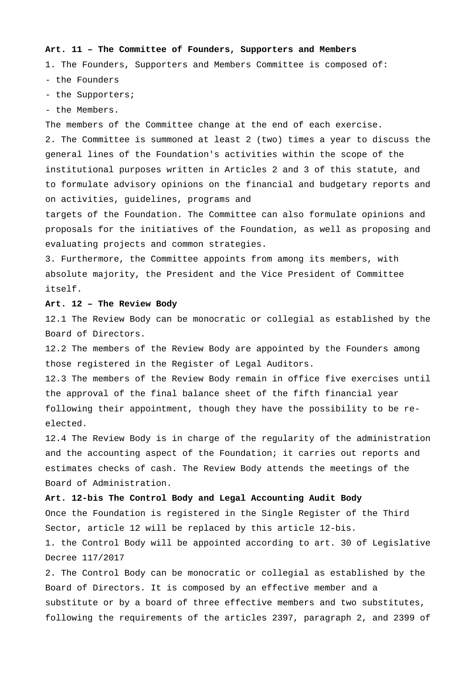# **Art. 11 – The Committee of Founders, Supporters and Members**

1. The Founders, Supporters and Members Committee is composed of:

- the Founders

- the Supporters;
- the Members.

The members of the Committee change at the end of each exercise. 2. The Committee is summoned at least 2 (two) times a year to discuss the general lines of the Foundation's activities within the scope of the institutional purposes written in Articles 2 and 3 of this statute, and to formulate advisory opinions on the financial and budgetary reports and on activities, guidelines, programs and

targets of the Foundation. The Committee can also formulate opinions and proposals for the initiatives of the Foundation, as well as proposing and evaluating projects and common strategies.

3. Furthermore, the Committee appoints from among its members, with absolute majority, the President and the Vice President of Committee itself.

### **Art. 12 – The Review Body**

12.1 The Review Body can be monocratic or collegial as established by the Board of Directors.

12.2 The members of the Review Body are appointed by the Founders among those registered in the Register of Legal Auditors.

12.3 The members of the Review Body remain in office five exercises until the approval of the final balance sheet of the fifth financial year following their appointment, though they have the possibility to be reelected.

12.4 The Review Body is in charge of the regularity of the administration and the accounting aspect of the Foundation; it carries out reports and estimates checks of cash. The Review Body attends the meetings of the Board of Administration.

# **Art. 12-bis The Control Body and Legal Accounting Audit Body**

Once the Foundation is registered in the Single Register of the Third Sector, article 12 will be replaced by this article 12-bis.

1. the Control Body will be appointed according to art. 30 of Legislative Decree 117/2017

2. The Control Body can be monocratic or collegial as established by the Board of Directors. It is composed by an effective member and a substitute or by a board of three effective members and two substitutes, following the requirements of the articles 2397, paragraph 2, and 2399 of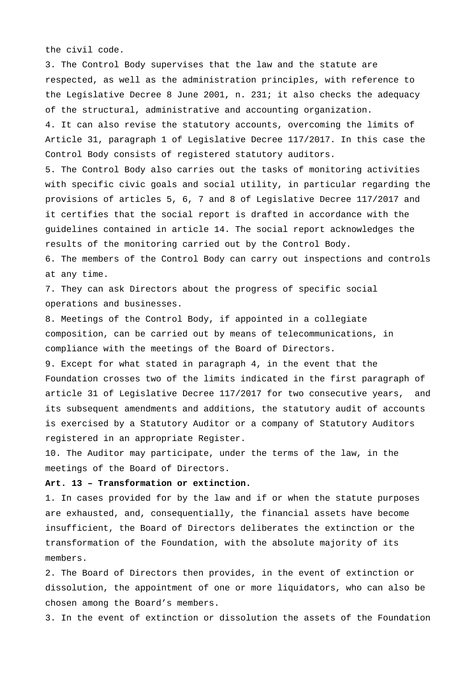the civil code.

3. The Control Body supervises that the law and the statute are respected, as well as the administration principles, with reference to the Legislative Decree 8 June 2001, n. 231; it also checks the adequacy of the structural, administrative and accounting organization. 4. It can also revise the statutory accounts, overcoming the limits of Article 31, paragraph 1 of Legislative Decree 117/2017. In this case the Control Body consists of registered statutory auditors. 5. The Control Body also carries out the tasks of monitoring activities with specific civic goals and social utility, in particular regarding the provisions of articles 5, 6, 7 and 8 of Legislative Decree 117/2017 and it certifies that the social report is drafted in accordance with the guidelines contained in article 14. The social report acknowledges the results of the monitoring carried out by the Control Body. 6. The members of the Control Body can carry out inspections and controls at any time. 7. They can ask Directors about the progress of specific social operations and businesses. 8. Meetings of the Control Body, if appointed in a collegiate

composition, can be carried out by means of telecommunications, in compliance with the meetings of the Board of Directors.

9. Except for what stated in paragraph 4, in the event that the Foundation crosses two of the limits indicated in the first paragraph of article 31 of Legislative Decree 117/2017 for two consecutive years, and its subsequent amendments and additions, the statutory audit of accounts is exercised by a Statutory Auditor or a company of Statutory Auditors registered in an appropriate Register.

10. The Auditor may participate, under the terms of the law, in the meetings of the Board of Directors.

# **Art. 13 – Transformation or extinction.**

1. In cases provided for by the law and if or when the statute purposes are exhausted, and, consequentially, the financial assets have become insufficient, the Board of Directors deliberates the extinction or the transformation of the Foundation, with the absolute majority of its members.

2. The Board of Directors then provides, in the event of extinction or dissolution, the appointment of one or more liquidators, who can also be chosen among the Board's members.

3. In the event of extinction or dissolution the assets of the Foundation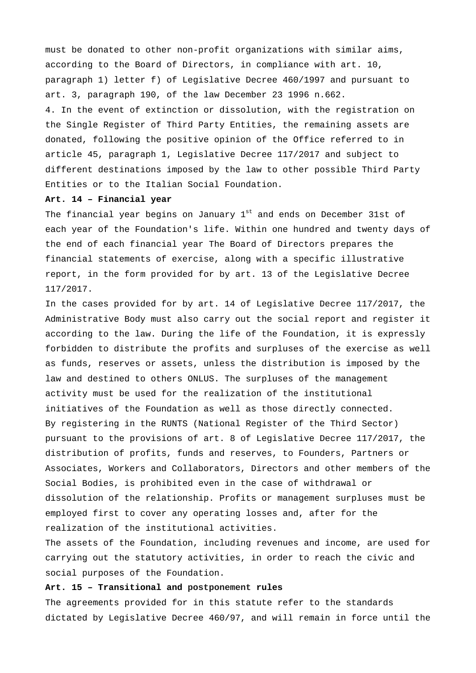must be donated to other non-profit organizations with similar aims, according to the Board of Directors, in compliance with art. 10, paragraph 1) letter f) of Legislative Decree 460/1997 and pursuant to art. 3, paragraph 190, of the law December 23 1996 n.662. 4. In the event of extinction or dissolution, with the registration on the Single Register of Third Party Entities, the remaining assets are donated, following the positive opinion of the Office referred to in article 45, paragraph 1, Legislative Decree 117/2017 and subject to different destinations imposed by the law to other possible Third Party Entities or to the Italian Social Foundation.

## **Art. 14 – Financial year**

The financial year begins on January  $1^{st}$  and ends on December 31st of each year of the Foundation's life. Within one hundred and twenty days of the end of each financial year The Board of Directors prepares the financial statements of exercise, along with a specific illustrative report, in the form provided for by art. 13 of the Legislative Decree 117/2017.

In the cases provided for by art. 14 of Legislative Decree 117/2017, the Administrative Body must also carry out the social report and register it according to the law. During the life of the Foundation, it is expressly forbidden to distribute the profits and surpluses of the exercise as well as funds, reserves or assets, unless the distribution is imposed by the law and destined to others ONLUS. The surpluses of the management activity must be used for the realization of the institutional initiatives of the Foundation as well as those directly connected. By registering in the RUNTS (National Register of the Third Sector) pursuant to the provisions of art. 8 of Legislative Decree 117/2017, the distribution of profits, funds and reserves, to Founders, Partners or Associates, Workers and Collaborators, Directors and other members of the Social Bodies, is prohibited even in the case of withdrawal or dissolution of the relationship. Profits or management surpluses must be employed first to cover any operating losses and, after for the realization of the institutional activities.

The assets of the Foundation, including revenues and income, are used for carrying out the statutory activities, in order to reach the civic and social purposes of the Foundation.

### **Art. 15 – Transitional and postponement rules**

The agreements provided for in this statute refer to the standards dictated by Legislative Decree 460/97, and will remain in force until the